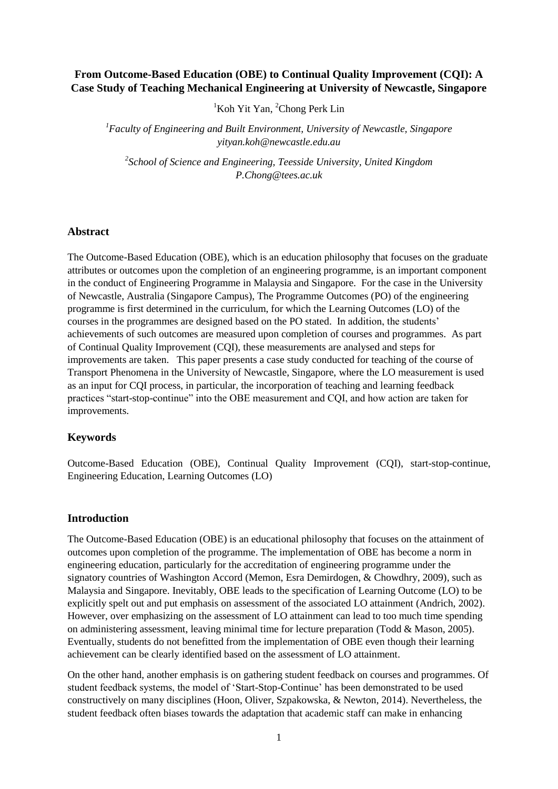# **From Outcome-Based Education (OBE) to Continual Quality Improvement (CQI): A Case Study of Teaching Mechanical Engineering at University of Newcastle, Singapore**

 ${}^{1}$ Koh Yit Yan, <sup>2</sup>Chong Perk Lin

*<sup>1</sup>Faculty of Engineering and Built Environment, University of Newcastle, Singapore yityan.koh@newcastle.edu.au*

*2 School of Science and Engineering, Teesside University, United Kingdom P.Chong@tees.ac.uk*

### **Abstract**

The Outcome-Based Education (OBE), which is an education philosophy that focuses on the graduate attributes or outcomes upon the completion of an engineering programme, is an important component in the conduct of Engineering Programme in Malaysia and Singapore. For the case in the University of Newcastle, Australia (Singapore Campus), The Programme Outcomes (PO) of the engineering programme is first determined in the curriculum, for which the Learning Outcomes (LO) of the courses in the programmes are designed based on the PO stated. In addition, the students' achievements of such outcomes are measured upon completion of courses and programmes. As part of Continual Quality Improvement (CQI), these measurements are analysed and steps for improvements are taken. This paper presents a case study conducted for teaching of the course of Transport Phenomena in the University of Newcastle, Singapore, where the LO measurement is used as an input for CQI process, in particular, the incorporation of teaching and learning feedback practices "start-stop-continue" into the OBE measurement and CQI, and how action are taken for improvements.

### **Keywords**

Outcome-Based Education (OBE), Continual Quality Improvement (CQI), start-stop-continue, Engineering Education, Learning Outcomes (LO)

#### **Introduction**

The Outcome-Based Education (OBE) is an educational philosophy that focuses on the attainment of outcomes upon completion of the programme. The implementation of OBE has become a norm in engineering education, particularly for the accreditation of engineering programme under the signatory countries of Washington Accord (Memon, Esra Demirdogen, & Chowdhry, 2009), such as Malaysia and Singapore. Inevitably, OBE leads to the specification of Learning Outcome (LO) to be explicitly spelt out and put emphasis on assessment of the associated LO attainment (Andrich, 2002). However, over emphasizing on the assessment of LO attainment can lead to too much time spending on administering assessment, leaving minimal time for lecture preparation (Todd & Mason, 2005). Eventually, students do not benefitted from the implementation of OBE even though their learning achievement can be clearly identified based on the assessment of LO attainment.

On the other hand, another emphasis is on gathering student feedback on courses and programmes. Of student feedback systems, the model of 'Start-Stop-Continue' has been demonstrated to be used constructively on many disciplines (Hoon, Oliver, Szpakowska, & Newton, 2014). Nevertheless, the student feedback often biases towards the adaptation that academic staff can make in enhancing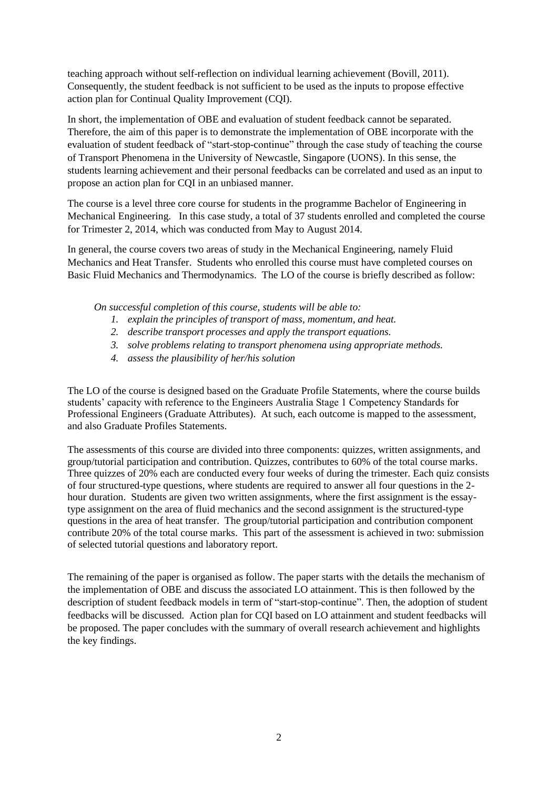teaching approach without self-reflection on individual learning achievement (Bovill, 2011). Consequently, the student feedback is not sufficient to be used as the inputs to propose effective action plan for Continual Quality Improvement (CQI).

In short, the implementation of OBE and evaluation of student feedback cannot be separated. Therefore, the aim of this paper is to demonstrate the implementation of OBE incorporate with the evaluation of student feedback of "start-stop-continue" through the case study of teaching the course of Transport Phenomena in the University of Newcastle, Singapore (UONS). In this sense, the students learning achievement and their personal feedbacks can be correlated and used as an input to propose an action plan for CQI in an unbiased manner.

The course is a level three core course for students in the programme Bachelor of Engineering in Mechanical Engineering. In this case study, a total of 37 students enrolled and completed the course for Trimester 2, 2014, which was conducted from May to August 2014.

In general, the course covers two areas of study in the Mechanical Engineering, namely Fluid Mechanics and Heat Transfer. Students who enrolled this course must have completed courses on Basic Fluid Mechanics and Thermodynamics. The LO of the course is briefly described as follow:

*On successful completion of this course, students will be able to:* 

- *1. explain the principles of transport of mass, momentum, and heat.*
- *2. describe transport processes and apply the transport equations.*
- *3. solve problems relating to transport phenomena using appropriate methods.*
- *4. assess the plausibility of her/his solution*

The LO of the course is designed based on the Graduate Profile Statements, where the course builds students' capacity with reference to the Engineers Australia Stage 1 Competency Standards for Professional Engineers (Graduate Attributes). At such, each outcome is mapped to the assessment, and also Graduate Profiles Statements.

The assessments of this course are divided into three components: quizzes, written assignments, and group/tutorial participation and contribution. Quizzes, contributes to 60% of the total course marks. Three quizzes of 20% each are conducted every four weeks of during the trimester. Each quiz consists of four structured-type questions, where students are required to answer all four questions in the 2 hour duration. Students are given two written assignments, where the first assignment is the essaytype assignment on the area of fluid mechanics and the second assignment is the structured-type questions in the area of heat transfer. The group/tutorial participation and contribution component contribute 20% of the total course marks. This part of the assessment is achieved in two: submission of selected tutorial questions and laboratory report.

The remaining of the paper is organised as follow. The paper starts with the details the mechanism of the implementation of OBE and discuss the associated LO attainment. This is then followed by the description of student feedback models in term of "start-stop-continue". Then, the adoption of student feedbacks will be discussed. Action plan for CQI based on LO attainment and student feedbacks will be proposed. The paper concludes with the summary of overall research achievement and highlights the key findings.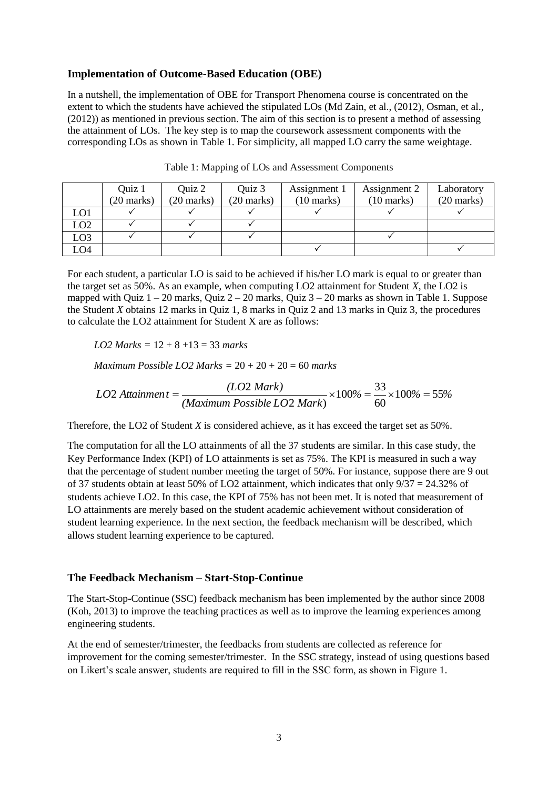#### **Implementation of Outcome-Based Education (OBE)**

In a nutshell, the implementation of OBE for Transport Phenomena course is concentrated on the extent to which the students have achieved the stipulated LOs (Md Zain, et al., (2012), Osman, et al., (2012)) as mentioned in previous section. The aim of this section is to present a method of assessing the attainment of LOs. The key step is to map the coursework assessment components with the corresponding LOs as shown in Table 1. For simplicity, all mapped LO carry the same weightage.

|                 | Quiz 1               | Quiz 2               | Quiz 3               | Assignment 1         | Assignment 2         | Laboratory   |
|-----------------|----------------------|----------------------|----------------------|----------------------|----------------------|--------------|
|                 | $(20 \text{ marks})$ | $(20 \text{ marks})$ | $(20 \text{ marks})$ | $(10 \text{ marks})$ | $(10 \text{ marks})$ | $(20$ marks) |
| LO <sub>1</sub> |                      |                      |                      |                      |                      |              |
| LO2             |                      |                      |                      |                      |                      |              |
| LO <sub>3</sub> |                      |                      |                      |                      |                      |              |
| LO4             |                      |                      |                      |                      |                      |              |

Table 1: Mapping of LOs and Assessment Components

For each student, a particular LO is said to be achieved if his/her LO mark is equal to or greater than the target set as 50%. As an example, when computing LO2 attainment for Student *X*, the LO2 is mapped with Quiz  $1 - 20$  marks, Quiz  $2 - 20$  marks, Quiz  $3 - 20$  marks as shown in Table 1. Suppose the Student *X* obtains 12 marks in Quiz 1, 8 marks in Quiz 2 and 13 marks in Quiz 3, the procedures to calculate the LO2 attainment for Student X are as follows:

*LO2 Marks =* 12 + 8 +13 = 33 *marks*

*Maximum Possible LO2 Marks =* 20 + 20 + 20 = 60 *marks*

$$
LO2\text{ Attainment} = \frac{(LO2\text{ Mark})}{(Maximum\text{ Possible}\text{ }LO2\text{ }Mark)} \times 100\% = \frac{33}{60} \times 100\% = 55\%
$$

Therefore, the LO2 of Student *X* is considered achieve, as it has exceed the target set as 50%.

The computation for all the LO attainments of all the 37 students are similar. In this case study, the Key Performance Index (KPI) of LO attainments is set as 75%. The KPI is measured in such a way that the percentage of student number meeting the target of 50%. For instance, suppose there are 9 out of 37 students obtain at least 50% of LO2 attainment, which indicates that only  $9/37 = 24.32\%$  of students achieve LO2. In this case, the KPI of 75% has not been met. It is noted that measurement of LO attainments are merely based on the student academic achievement without consideration of student learning experience. In the next section, the feedback mechanism will be described, which allows student learning experience to be captured.

### **The Feedback Mechanism – Start-Stop-Continue**

The Start-Stop-Continue (SSC) feedback mechanism has been implemented by the author since 2008 (Koh, 2013) to improve the teaching practices as well as to improve the learning experiences among engineering students.

At the end of semester/trimester, the feedbacks from students are collected as reference for improvement for the coming semester/trimester. In the SSC strategy, instead of using questions based on Likert's scale answer, students are required to fill in the SSC form, as shown in Figure 1.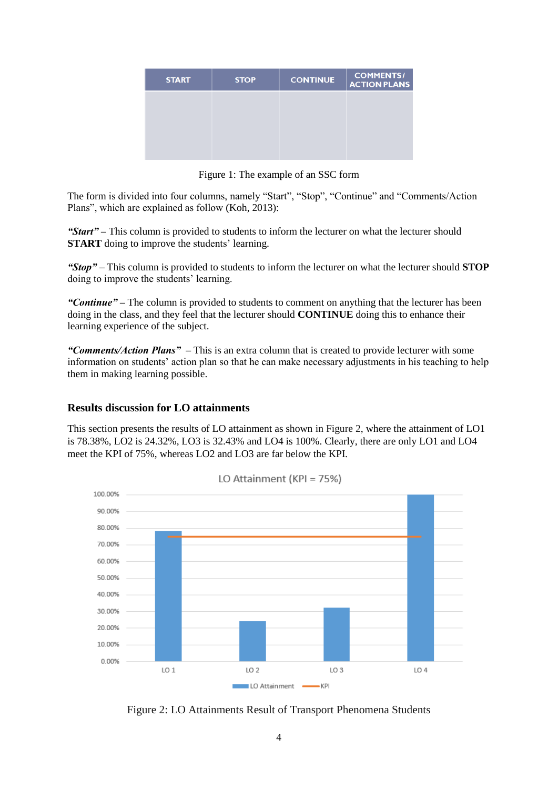| <b>START</b> | <b>STOP</b> | <b>CONTINUE</b> | <b>COMMENTS/</b><br><b>ACTION PLANS</b> |
|--------------|-------------|-----------------|-----------------------------------------|
|              |             |                 |                                         |
|              |             |                 |                                         |
|              |             |                 |                                         |

Figure 1: The example of an SSC form

The form is divided into four columns, namely "Start", "Stop", "Continue" and "Comments/Action Plans", which are explained as follow (Koh, 2013):

*"Start" –* This column is provided to students to inform the lecturer on what the lecturer should **START** doing to improve the students' learning.

*"Stop" –* This column is provided to students to inform the lecturer on what the lecturer should **STOP**  doing to improve the students' learning.

*"Continue" –* The column is provided to students to comment on anything that the lecturer has been doing in the class, and they feel that the lecturer should **CONTINUE** doing this to enhance their learning experience of the subject.

*"Comments/Action Plans" –* This is an extra column that is created to provide lecturer with some information on students' action plan so that he can make necessary adjustments in his teaching to help them in making learning possible.

## **Results discussion for LO attainments**

This section presents the results of LO attainment as shown in Figure 2, where the attainment of LO1 is 78.38%, LO2 is 24.32%, LO3 is 32.43% and LO4 is 100%. Clearly, there are only LO1 and LO4 meet the KPI of 75%, whereas LO2 and LO3 are far below the KPI.



LO Attainment (KPI =  $75\%$ )

Figure 2: LO Attainments Result of Transport Phenomena Students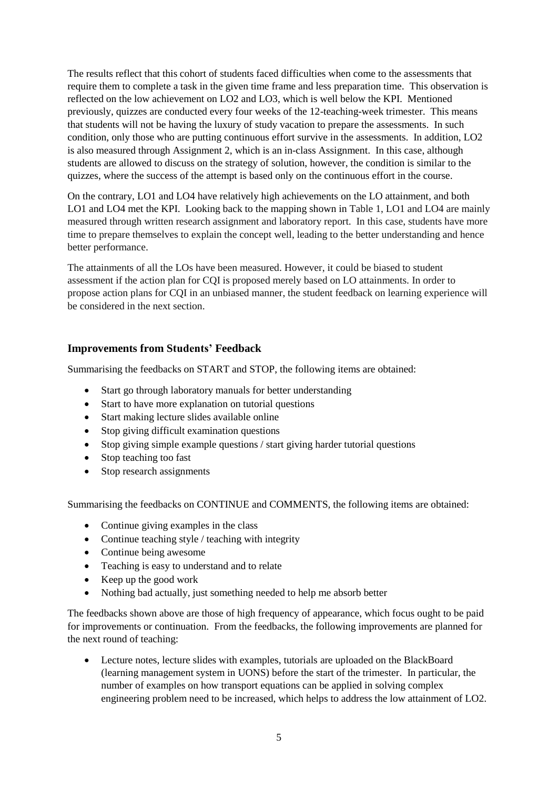The results reflect that this cohort of students faced difficulties when come to the assessments that require them to complete a task in the given time frame and less preparation time. This observation is reflected on the low achievement on LO2 and LO3, which is well below the KPI. Mentioned previously, quizzes are conducted every four weeks of the 12-teaching-week trimester. This means that students will not be having the luxury of study vacation to prepare the assessments. In such condition, only those who are putting continuous effort survive in the assessments. In addition, LO2 is also measured through Assignment 2, which is an in-class Assignment. In this case, although students are allowed to discuss on the strategy of solution, however, the condition is similar to the quizzes, where the success of the attempt is based only on the continuous effort in the course.

On the contrary, LO1 and LO4 have relatively high achievements on the LO attainment, and both LO1 and LO4 met the KPI. Looking back to the mapping shown in Table 1, LO1 and LO4 are mainly measured through written research assignment and laboratory report. In this case, students have more time to prepare themselves to explain the concept well, leading to the better understanding and hence better performance.

The attainments of all the LOs have been measured. However, it could be biased to student assessment if the action plan for CQI is proposed merely based on LO attainments. In order to propose action plans for CQI in an unbiased manner, the student feedback on learning experience will be considered in the next section.

# **Improvements from Students' Feedback**

Summarising the feedbacks on START and STOP, the following items are obtained:

- Start go through laboratory manuals for better understanding
- Start to have more explanation on tutorial questions
- Start making lecture slides available online
- Stop giving difficult examination questions
- Stop giving simple example questions / start giving harder tutorial questions
- Stop teaching too fast
- Stop research assignments

Summarising the feedbacks on CONTINUE and COMMENTS, the following items are obtained:

- Continue giving examples in the class
- Continue teaching style / teaching with integrity
- Continue being awesome
- Teaching is easy to understand and to relate
- Keep up the good work
- Nothing bad actually, just something needed to help me absorb better

The feedbacks shown above are those of high frequency of appearance, which focus ought to be paid for improvements or continuation. From the feedbacks, the following improvements are planned for the next round of teaching:

 Lecture notes, lecture slides with examples, tutorials are uploaded on the BlackBoard (learning management system in UONS) before the start of the trimester. In particular, the number of examples on how transport equations can be applied in solving complex engineering problem need to be increased, which helps to address the low attainment of LO2.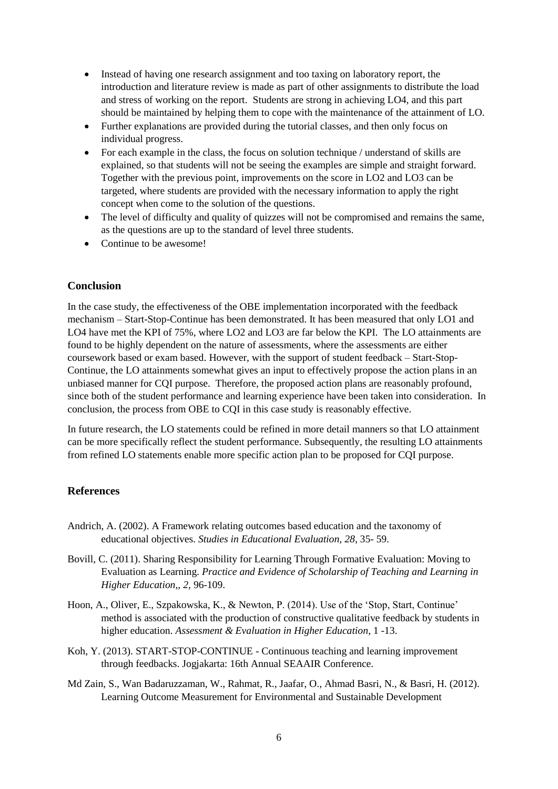- Instead of having one research assignment and too taxing on laboratory report, the introduction and literature review is made as part of other assignments to distribute the load and stress of working on the report. Students are strong in achieving LO4, and this part should be maintained by helping them to cope with the maintenance of the attainment of LO.
- Further explanations are provided during the tutorial classes, and then only focus on individual progress.
- For each example in the class, the focus on solution technique / understand of skills are explained, so that students will not be seeing the examples are simple and straight forward. Together with the previous point, improvements on the score in LO2 and LO3 can be targeted, where students are provided with the necessary information to apply the right concept when come to the solution of the questions.
- The level of difficulty and quality of quizzes will not be compromised and remains the same, as the questions are up to the standard of level three students.
- Continue to be awesome!

## **Conclusion**

In the case study, the effectiveness of the OBE implementation incorporated with the feedback mechanism – Start-Stop-Continue has been demonstrated. It has been measured that only LO1 and LO4 have met the KPI of 75%, where LO2 and LO3 are far below the KPI. The LO attainments are found to be highly dependent on the nature of assessments, where the assessments are either coursework based or exam based. However, with the support of student feedback – Start-Stop-Continue, the LO attainments somewhat gives an input to effectively propose the action plans in an unbiased manner for CQI purpose. Therefore, the proposed action plans are reasonably profound, since both of the student performance and learning experience have been taken into consideration. In conclusion, the process from OBE to CQI in this case study is reasonably effective.

In future research, the LO statements could be refined in more detail manners so that LO attainment can be more specifically reflect the student performance. Subsequently, the resulting LO attainments from refined LO statements enable more specific action plan to be proposed for CQI purpose.

## **References**

- Andrich, A. (2002). A Framework relating outcomes based education and the taxonomy of educational objectives. *Studies in Educational Evaluation, 28*, 35- 59.
- Bovill, C. (2011). Sharing Responsibility for Learning Through Formative Evaluation: Moving to Evaluation as Learning. *Practice and Evidence of Scholarship of Teaching and Learning in Higher Education,, 2*, 96-109.
- Hoon, A., Oliver, E., Szpakowska, K., & Newton, P. (2014). Use of the 'Stop, Start, Continue' method is associated with the production of constructive qualitative feedback by students in higher education. *Assessment & Evaluation in Higher Education*, 1 -13.
- Koh, Y. (2013). START-STOP-CONTINUE Continuous teaching and learning improvement through feedbacks. Jogjakarta: 16th Annual SEAAIR Conference.
- Md Zain, S., Wan Badaruzzaman, W., Rahmat, R., Jaafar, O., Ahmad Basri, N., & Basri, H. (2012). Learning Outcome Measurement for Environmental and Sustainable Development